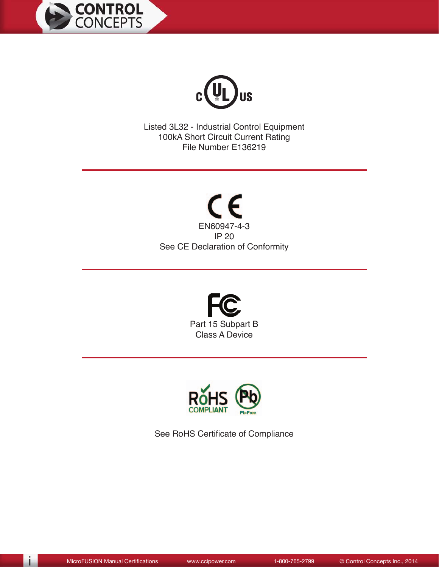



Listed 3L32 - Industrial Control Equipment 100kA Short Circuit Current Rating File Number E136219

 $C \in$ EN60947-4-3 IP 20 See CE Declaration of Conformity





See RoHS Certificate of Compliance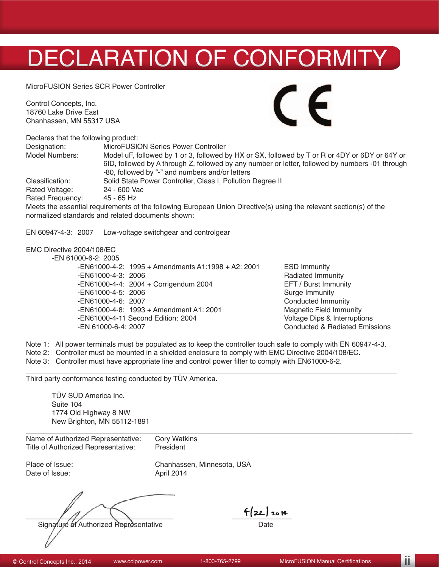# DECLARATION OF CONFORMITY

MicroFUSION Series SCR Power Controller

Control Concepts, Inc. 18760 Lake Drive East Chanhassen, MN 55317 USA



Declares that the following product: Designation: MicroFUSION Series Power Controller Model Numbers: Model uF, followed by 1 or 3, followed by HX or SX, followed by T or R or 4DY or 6DY or 64Y or 6ID, followed by A through Z, followed by any number or letter, followed by numbers -01 through -80, followed by "-" and numbers and/or letters Classification: Solid State Power Controller, Class I, Pollution Degree II Rated Voltage: 24 - 600 Vac Rated Frequency: 45 - 65 Hz Meets the essential requirements of the following European Union Directive(s) using the relevant section(s) of the

normalized standards and related documents shown:

EN 60947-4-3: 2007 Low-voltage switchgear and controlgear

#### EMC Directive 2004/108/EC

-EN 61000-6-2: 2005

 -EN61000-4-2: 1995 + Amendments A1:1998 + A2: 2001 ESD Immunity -EN61000-4-3: 2006 Radiated Immunity  $-EN61000-4-4: 2004 + Corrigendum 2004$  -EN61000-4-5: 2006 Surge Immunity -EN61000-4-6: 2007 Conducted Immunity -EN61000-4-8: 1993 + Amendment A1: 2001 Magnetic Field Immunity<br>-EN61000-4-11 Second Edition: 2004 Metal Muslim Multage Dips & Interruptions -EN61000-4-11 Second Edition: 2004 -EN 61000-6-4: 2007 Conducted & Radiated Emissions

Note 1: All power terminals must be populated as to keep the controller touch safe to comply with EN 60947-4-3.

\_\_\_\_\_\_\_\_\_\_\_\_\_\_\_\_\_\_\_\_\_\_\_\_\_\_\_\_\_\_\_\_\_\_\_\_\_\_\_\_\_\_\_\_\_\_\_\_\_\_\_\_\_\_\_\_\_\_\_\_\_\_\_\_\_\_\_\_\_\_\_\_\_\_\_\_\_\_\_\_\_\_\_\_\_\_\_\_\_\_\_\_\_

- Note 2: Controller must be mounted in a shielded enclosure to comply with EMC Directive 2004/108/EC.
- Note 3: Controller must have appropriate line and control power filter to comply with EN61000-6-2.

Third party conformance testing conducted by TÜV America.

TÜV SÜD America Inc. Suite 104 1774 Old Highway 8 NW New Brighton, MN 55112-1891

| Name of Authorized Representative: Cory Watkins |           |
|-------------------------------------------------|-----------|
| Title of Authorized Representative:             | President |

Date of Issue: April 2014

Place of Issue: Chanhassen, Minnesota, USA

 $\sqrt{1/2}$ Signature of Authorized Representative Date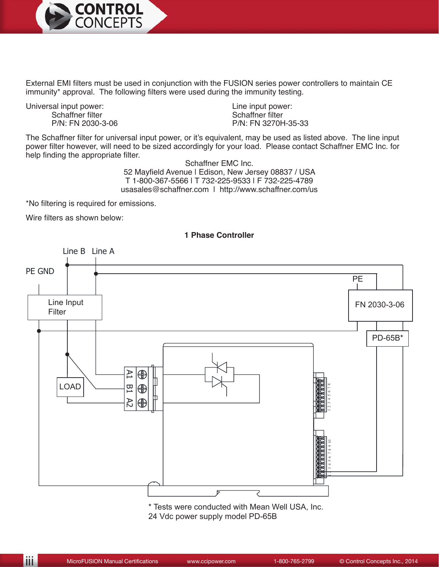

External EMI filters must be used in conjunction with the FUSION series power controllers to maintain CE immunity\* approval. The following filters were used during the immunity testing.

Universal input power:<br>
Schaffner filter<br>
Schaffner filter<br>
Schaffner filter Schaffner filter<br>P/N: FN 2030-3-06

P/N: FN 3270H-35-33

The Schaffner filter for universal input power, or it's equivalent, may be used as listed above. The line input power filter however, will need to be sized accordingly for your load. Please contact Schaffner EMC Inc. for help finding the appropriate filter.

Schaffner EMC Inc. 52 Mayfield Avenue | Edison, New Jersey 08837 / USA T 1-800-367-5566 | T 732-225-9533 | F 732-225-4789 usasales@schaffner.com | http://www.schaffner.com/us

\*No filtering is required for emissions.

Wire filters as shown below:



\* Tests were conducted with Mean Well USA, Inc. 24 Vdc power supply model PD-65B

#### **1 Phase Controller**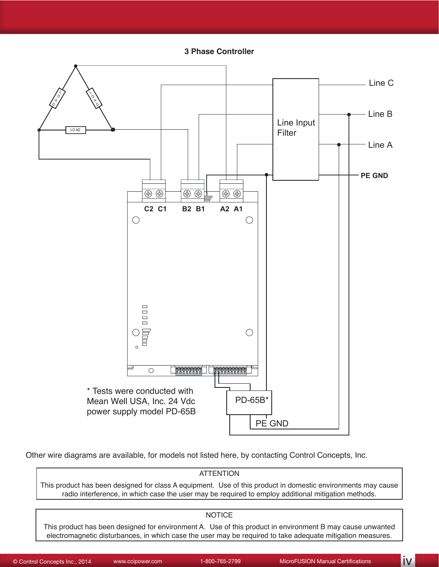**3 Phase Controller** 



Other wire diagrams are available, for models not listed here, by contacting Control Concepts, Inc.

### ATTENTION This product has been designed for class A equipment. Use of this product in domestic environments may cause radio interference, in which case the user may be required to employ additional mitigation methods. NOTICE

This product has been designed for environment A. Use of this product in environment B may cause unwanted electromagnetic disturbances, in which case the user may be required to take adequate mitigation measures.